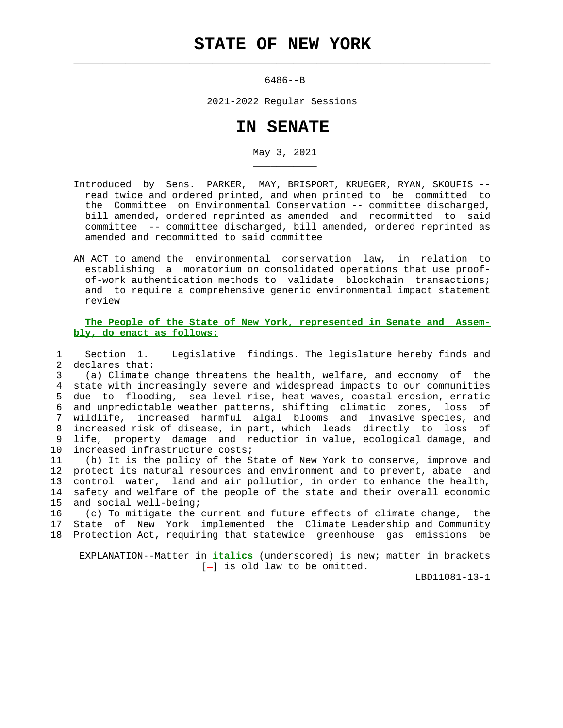## **STATE OF NEW YORK**

 $\mathcal{L}_\text{max} = \frac{1}{2} \sum_{i=1}^{n} \frac{1}{2} \sum_{i=1}^{n} \frac{1}{2} \sum_{i=1}^{n} \frac{1}{2} \sum_{i=1}^{n} \frac{1}{2} \sum_{i=1}^{n} \frac{1}{2} \sum_{i=1}^{n} \frac{1}{2} \sum_{i=1}^{n} \frac{1}{2} \sum_{i=1}^{n} \frac{1}{2} \sum_{i=1}^{n} \frac{1}{2} \sum_{i=1}^{n} \frac{1}{2} \sum_{i=1}^{n} \frac{1}{2} \sum_{i=1}^{n} \frac{1$ 

\_\_\_\_\_\_\_\_\_\_\_

6486--B

2021-2022 Regular Sessions

## **IN SENATE**

May 3, 2021

- Introduced by Sens. PARKER, MAY, BRISPORT, KRUEGER, RYAN, SKOUFIS read twice and ordered printed, and when printed to be committed to the Committee on Environmental Conservation -- committee discharged, bill amended, ordered reprinted as amended and recommitted to said committee -- committee discharged, bill amended, ordered reprinted as amended and recommitted to said committee
- AN ACT to amend the environmental conservation law, in relation to establishing a moratorium on consolidated operations that use proof of-work authentication methods to validate blockchain transactions; and to require a comprehensive generic environmental impact statement review

 **The People of the State of New York, represented in Senate and Assem bly, do enact as follows:**

 1 Section 1. Legislative findings. The legislature hereby finds and 2 declares that:

 3 (a) Climate change threatens the health, welfare, and economy of the 4 state with increasingly severe and widespread impacts to our communities 5 due to flooding, sea level rise, heat waves, coastal erosion, erratic 6 and unpredictable weather patterns, shifting climatic zones, loss of 7 wildlife, increased harmful algal blooms and invasive species, and 8 increased risk of disease, in part, which leads directly to loss of 9 life, property damage and reduction in value, ecological damage, and 10 increased infrastructure costs;

 11 (b) It is the policy of the State of New York to conserve, improve and 12 protect its natural resources and environment and to prevent, abate and 13 control water, land and air pollution, in order to enhance the health, 14 safety and welfare of the people of the state and their overall economic 15 and social well-being;

 16 (c) To mitigate the current and future effects of climate change, the 17 State of New York implemented the Climate Leadership and Community 18 Protection Act, requiring that statewide greenhouse gas emissions be

 EXPLANATION--Matter in **italics** (underscored) is new; matter in brackets  $[-]$  is old law to be omitted.

LBD11081-13-1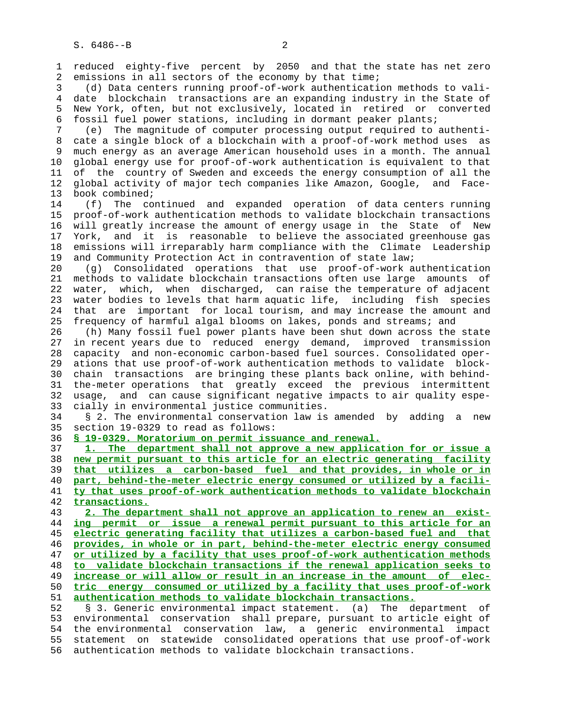1 reduced eighty-five percent by 2050 and that the state has net zero 2 emissions in all sectors of the economy by that time;

 3 (d) Data centers running proof-of-work authentication methods to vali- 4 date blockchain transactions are an expanding industry in the State of 5 New York, often, but not exclusively, located in retired or converted 6 fossil fuel power stations, including in dormant peaker plants;

 7 (e) The magnitude of computer processing output required to authenti- 8 cate a single block of a blockchain with a proof-of-work method uses as<br>9 much energy as an average American household uses in a month. The annual much energy as an average American household uses in a month. The annual 10 global energy use for proof-of-work authentication is equivalent to that 11 of the country of Sweden and exceeds the energy consumption of all the 12 global activity of major tech companies like Amazon, Google, and Face- 13 book combined;

 14 (f) The continued and expanded operation of data centers running 15 proof-of-work authentication methods to validate blockchain transactions 16 will greatly increase the amount of energy usage in the State of New 17 York, and it is reasonable to believe the associated greenhouse gas 18 emissions will irreparably harm compliance with the Climate Leadership 19 and Community Protection Act in contravention of state law;

 20 (g) Consolidated operations that use proof-of-work authentication 21 methods to validate blockchain transactions often use large amounts of 22 water, which, when discharged, can raise the temperature of adjacent 23 water bodies to levels that harm aquatic life, including fish species 24 that are important for local tourism, and may increase the amount and 25 frequency of harmful algal blooms on lakes, ponds and streams; and

 26 (h) Many fossil fuel power plants have been shut down across the state 27 in recent years due to reduced energy demand, improved transmission 28 capacity and non-economic carbon-based fuel sources. Consolidated oper- 29 ations that use proof-of-work authentication methods to validate block- 30 chain transactions are bringing these plants back online, with behind- 31 the-meter operations that greatly exceed the previous intermittent 32 usage, and can cause significant negative impacts to air quality espe- 33 cially in environmental justice communities.

 34 § 2. The environmental conservation law is amended by adding a new 35 section 19-0329 to read as follows:

36 **§ 19-0329. Moratorium on permit issuance and renewal.**

**1. The department shall not approve a new application for or issue a new permit pursuant to this article for an electric generating facility that utilizes a carbon-based fuel and that provides, in whole or in part, behind-the-meter electric energy consumed or utilized by a facili- ty that uses proof-of-work authentication methods to validate blockchain transactions.**

**2. The department shall not approve an application to renew an exist- ing permit or issue a renewal permit pursuant to this article for an electric generating facility that utilizes a carbon-based fuel and that provides, in whole or in part, behind-the-meter electric energy consumed or utilized by a facility that uses proof-of-work authentication methods to validate blockchain transactions if the renewal application seeks to increase or will allow or result in an increase in the amount of elec- tric energy consumed or utilized by a facility that uses proof-of-work authentication methods to validate blockchain transactions.** 52 § 3. Generic environmental impact statement. (a) The department of

 53 environmental conservation shall prepare, pursuant to article eight of 54 the environmental conservation law, a generic environmental impact 55 statement on statewide consolidated operations that use proof-of-work 56 authentication methods to validate blockchain transactions.